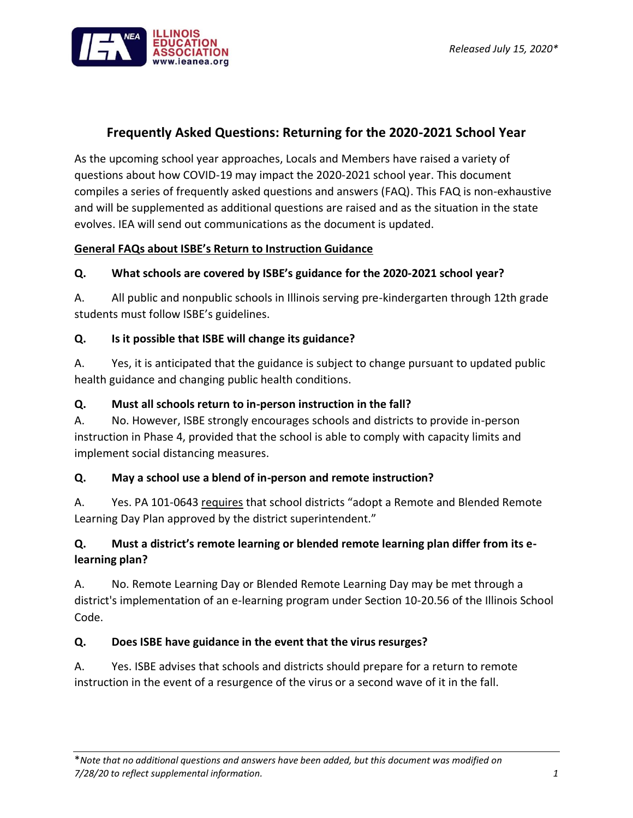

# **Frequently Asked Questions: Returning for the 2020-2021 School Year**

As the upcoming school year approaches, Locals and Members have raised a variety of questions about how COVID-19 may impact the 2020-2021 school year. This document compiles a series of frequently asked questions and answers (FAQ). This FAQ is non-exhaustive and will be supplemented as additional questions are raised and as the situation in the state evolves. IEA will send out communications as the document is updated.

#### **General FAQs about ISBE's Return to Instruction Guidance**

#### **Q. What schools are covered by ISBE's guidance for the 2020-2021 school year?**

A. All public and nonpublic schools in Illinois serving pre-kindergarten through 12th grade students must follow ISBE's guidelines.

#### **Q. Is it possible that ISBE will change its guidance?**

A. Yes, it is anticipated that the guidance is subject to change pursuant to updated public health guidance and changing public health conditions.

#### **Q. Must all schools return to in-person instruction in the fall?**

A. No. However, ISBE strongly encourages schools and districts to provide in-person instruction in Phase 4, provided that the school is able to comply with capacity limits and implement social distancing measures.

#### **Q. May a school use a blend of in-person and remote instruction?**

A. Yes. PA 101-0643 requires that school districts "adopt a Remote and Blended Remote Learning Day Plan approved by the district superintendent."

### **Q. Must a district's remote learning or blended remote learning plan differ from its elearning plan?**

A. No. Remote Learning Day or Blended Remote Learning Day may be met through a district's implementation of an e-learning program under Section 10-20.56 of the Illinois School Code.

### **Q. Does ISBE have guidance in the event that the virus resurges?**

A. Yes. ISBE advises that schools and districts should prepare for a return to remote instruction in the event of a resurgence of the virus or a second wave of it in the fall.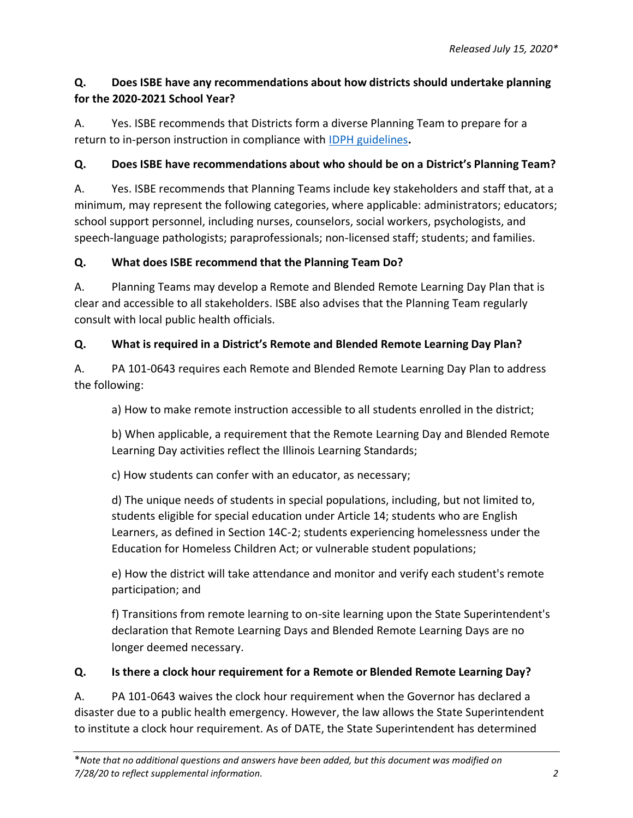# **Q. Does ISBE have any recommendations about how districts should undertake planning for the 2020-2021 School Year?**

A. Yes. ISBE recommends that Districts form a diverse Planning Team to prepare for a return to in-person instruction in compliance with [IDPH guidelines](https://www.isbe.net/Documents/Part-3-Transition-Planning-Phase-4.pdf)**.**

# **Q. Does ISBE have recommendations about who should be on a District's Planning Team?**

A. Yes. ISBE recommends that Planning Teams include key stakeholders and staff that, at a minimum, may represent the following categories, where applicable: administrators; educators; school support personnel, including nurses, counselors, social workers, psychologists, and speech-language pathologists; paraprofessionals; non-licensed staff; students; and families.

### **Q. What does ISBE recommend that the Planning Team Do?**

A. Planning Teams may develop a Remote and Blended Remote Learning Day Plan that is clear and accessible to all stakeholders. ISBE also advises that the Planning Team regularly consult with local public health officials.

# **Q. What is required in a District's Remote and Blended Remote Learning Day Plan?**

A. PA 101-0643 requires each Remote and Blended Remote Learning Day Plan to address the following:

a) How to make remote instruction accessible to all students enrolled in the district;

b) When applicable, a requirement that the Remote Learning Day and Blended Remote Learning Day activities reflect the Illinois Learning Standards;

c) How students can confer with an educator, as necessary;

d) The unique needs of students in special populations, including, but not limited to, students eligible for special education under Article 14; students who are English Learners, as defined in Section 14C-2; students experiencing homelessness under the Education for Homeless Children Act; or vulnerable student populations;

e) How the district will take attendance and monitor and verify each student's remote participation; and

f) Transitions from remote learning to on-site learning upon the State Superintendent's declaration that Remote Learning Days and Blended Remote Learning Days are no longer deemed necessary.

### **Q. Is there a clock hour requirement for a Remote or Blended Remote Learning Day?**

A. PA 101-0643 waives the clock hour requirement when the Governor has declared a disaster due to a public health emergency. However, the law allows the State Superintendent to institute a clock hour requirement. As of DATE, the State Superintendent has determined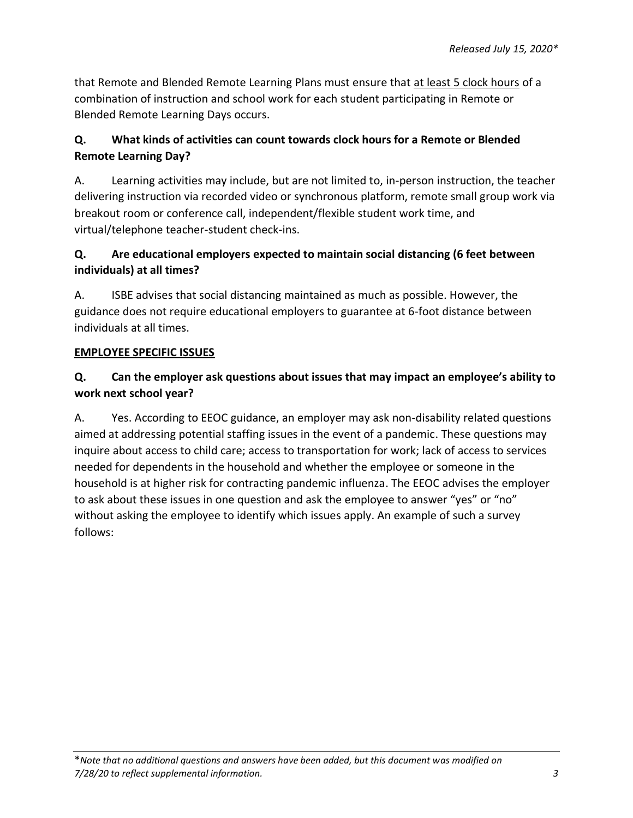that Remote and Blended Remote Learning Plans must ensure that at least 5 clock hours of a combination of instruction and school work for each student participating in Remote or Blended Remote Learning Days occurs.

# **Q. What kinds of activities can count towards clock hours for a Remote or Blended Remote Learning Day?**

A. Learning activities may include, but are not limited to, in-person instruction, the teacher delivering instruction via recorded video or synchronous platform, remote small group work via breakout room or conference call, independent/flexible student work time, and virtual/telephone teacher-student check-ins.

# **Q. Are educational employers expected to maintain social distancing (6 feet between individuals) at all times?**

A. ISBE advises that social distancing maintained as much as possible. However, the guidance does not require educational employers to guarantee at 6-foot distance between individuals at all times.

# **EMPLOYEE SPECIFIC ISSUES**

# **Q. Can the employer ask questions about issues that may impact an employee's ability to work next school year?**

A. Yes. According to EEOC guidance, an employer may ask non-disability related questions aimed at addressing potential staffing issues in the event of a pandemic. These questions may inquire about access to child care; access to transportation for work; lack of access to services needed for dependents in the household and whether the employee or someone in the household is at higher risk for contracting pandemic influenza. The EEOC advises the employer to ask about these issues in one question and ask the employee to answer "yes" or "no" without asking the employee to identify which issues apply. An example of such a survey follows: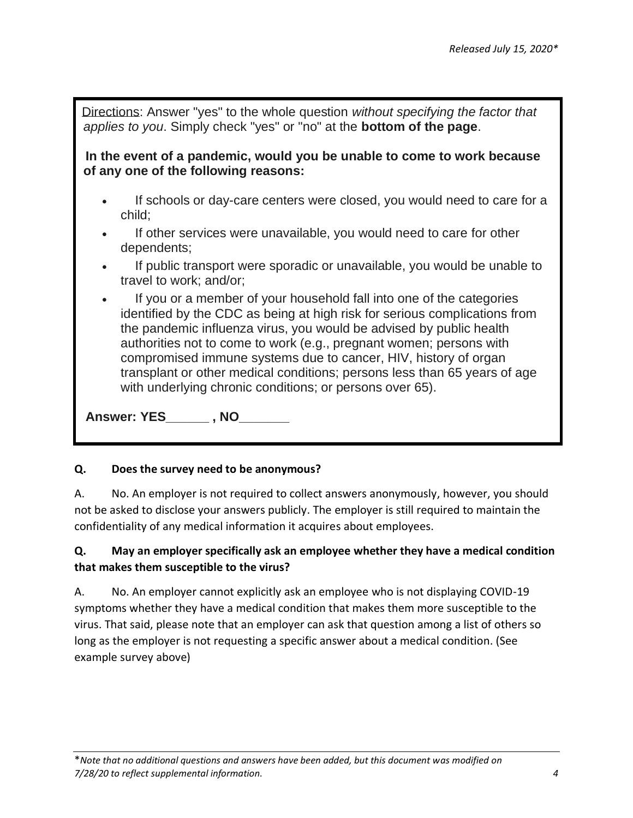Directions: Answer "yes" to the whole question *without specifying the factor that applies to you*. Simply check "yes" or "no" at the **bottom of the page**.

 **In the event of a pandemic, would you be unable to come to work because of any one of the following reasons:**

- If schools or day-care centers were closed, you would need to care for a child;
- If other services were unavailable, you would need to care for other dependents;
- If public transport were sporadic or unavailable, you would be unable to travel to work; and/or;
- If you or a member of your household fall into one of the categories identified by the CDC as being at high risk for serious complications from the pandemic influenza virus, you would be advised by public health authorities not to come to work (e.g., pregnant women; persons with compromised immune systems due to cancer, HIV, history of organ transplant or other medical conditions; persons less than 65 years of age with underlying chronic conditions; or persons over 65).

 **Answer: YES\_\_\_\_\_\_ , NO\_\_\_\_\_\_\_**

#### **Q. Does the survey need to be anonymous?**

A. No. An employer is not required to collect answers anonymously, however, you should not be asked to disclose your answers publicly. The employer is still required to maintain the confidentiality of any medical information it acquires about employees.

# **Q. May an employer specifically ask an employee whether they have a medical condition that makes them susceptible to the virus?**

A. No. An employer cannot explicitly ask an employee who is not displaying COVID-19 symptoms whether they have a medical condition that makes them more susceptible to the virus. That said, please note that an employer can ask that question among a list of others so long as the employer is not requesting a specific answer about a medical condition. (See example survey above)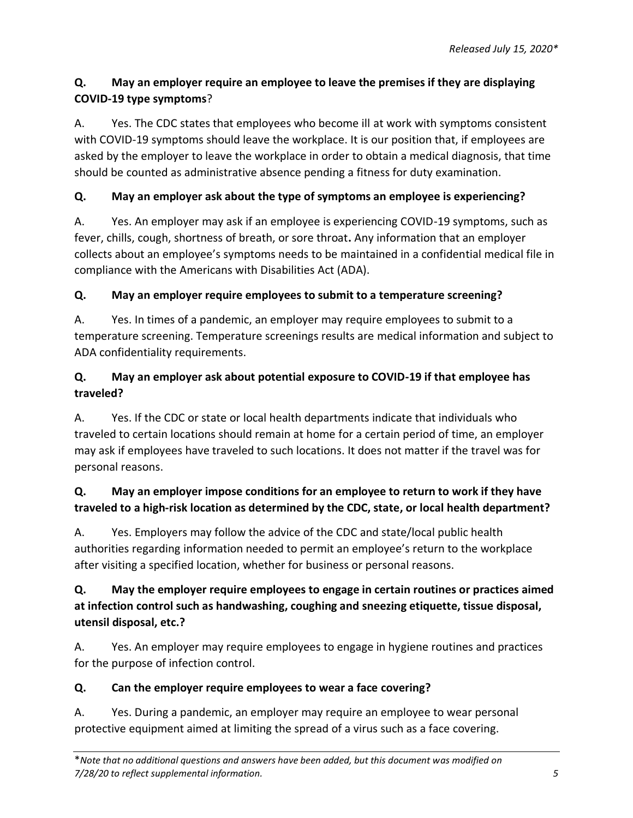# **Q. May an employer require an employee to leave the premises if they are displaying COVID-19 type symptoms**?

A. Yes. The CDC states that employees who become ill at work with symptoms consistent with COVID-19 symptoms should leave the workplace. It is our position that, if employees are asked by the employer to leave the workplace in order to obtain a medical diagnosis, that time should be counted as administrative absence pending a fitness for duty examination.

# **Q. May an employer ask about the type of symptoms an employee is experiencing?**

A. Yes. An employer may ask if an employee is experiencing COVID-19 symptoms, such as fever, chills, cough, shortness of breath, or sore throat**.** Any information that an employer collects about an employee's symptoms needs to be maintained in a confidential medical file in compliance with the Americans with Disabilities Act (ADA).

### **Q. May an employer require employees to submit to a temperature screening?**

A. Yes. In times of a pandemic, an employer may require employees to submit to a temperature screening. Temperature screenings results are medical information and subject to ADA confidentiality requirements.

# **Q. May an employer ask about potential exposure to COVID-19 if that employee has traveled?**

A. Yes. If the CDC or state or local health departments indicate that individuals who traveled to certain locations should remain at home for a certain period of time, an employer may ask if employees have traveled to such locations. It does not matter if the travel was for personal reasons.

# **Q. May an employer impose conditions for an employee to return to work if they have traveled to a high-risk location as determined by the CDC, state, or local health department?**

A. Yes. Employers may follow the advice of the CDC and state/local public health authorities regarding information needed to permit an employee's return to the workplace after visiting a specified location, whether for business or personal reasons.

# **Q. May the employer require employees to engage in certain routines or practices aimed at infection control such as handwashing, coughing and sneezing etiquette, tissue disposal, utensil disposal, etc.?**

A. Yes. An employer may require employees to engage in hygiene routines and practices for the purpose of infection control.

### **Q. Can the employer require employees to wear a face covering?**

A. Yes. During a pandemic, an employer may require an employee to wear personal protective equipment aimed at limiting the spread of a virus such as a face covering.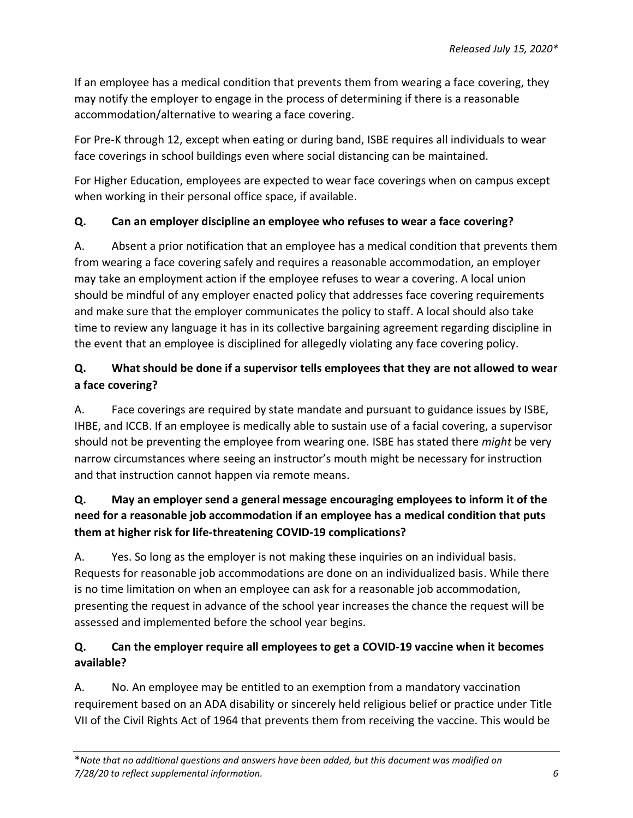If an employee has a medical condition that prevents them from wearing a face covering, they may notify the employer to engage in the process of determining if there is a reasonable accommodation/alternative to wearing a face covering.

For Pre-K through 12, except when eating or during band, ISBE requires all individuals to wear face coverings in school buildings even where social distancing can be maintained.

For Higher Education, employees are expected to wear face coverings when on campus except when working in their personal office space, if available.

# **Q. Can an employer discipline an employee who refuses to wear a face covering?**

A. Absent a prior notification that an employee has a medical condition that prevents them from wearing a face covering safely and requires a reasonable accommodation, an employer may take an employment action if the employee refuses to wear a covering. A local union should be mindful of any employer enacted policy that addresses face covering requirements and make sure that the employer communicates the policy to staff. A local should also take time to review any language it has in its collective bargaining agreement regarding discipline in the event that an employee is disciplined for allegedly violating any face covering policy.

# **Q. What should be done if a supervisor tells employees that they are not allowed to wear a face covering?**

A. Face coverings are required by state mandate and pursuant to guidance issues by ISBE, IHBE, and ICCB. If an employee is medically able to sustain use of a facial covering, a supervisor should not be preventing the employee from wearing one. ISBE has stated there *might* be very narrow circumstances where seeing an instructor's mouth might be necessary for instruction and that instruction cannot happen via remote means.

# **Q. May an employer send a general message encouraging employees to inform it of the need for a reasonable job accommodation if an employee has a medical condition that puts them at higher risk for life-threatening COVID-19 complications?**

A. Yes. So long as the employer is not making these inquiries on an individual basis. Requests for reasonable job accommodations are done on an individualized basis. While there is no time limitation on when an employee can ask for a reasonable job accommodation, presenting the request in advance of the school year increases the chance the request will be assessed and implemented before the school year begins.

# **Q. Can the employer require all employees to get a COVID-19 vaccine when it becomes available?**

A. No. An employee may be entitled to an exemption from a mandatory vaccination requirement based on an ADA disability or sincerely held religious belief or practice under Title VII of the Civil Rights Act of 1964 that prevents them from receiving the vaccine. This would be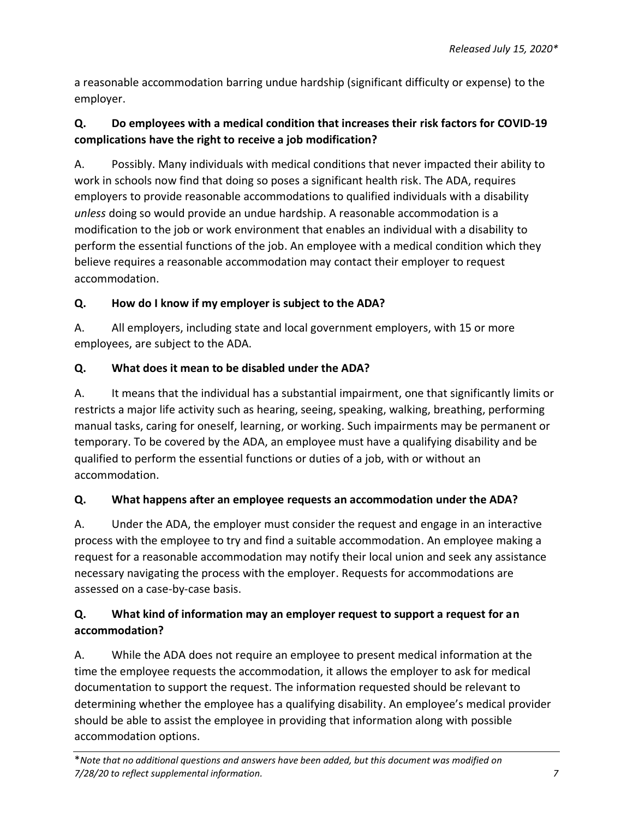a reasonable accommodation barring undue hardship (significant difficulty or expense) to the employer.

# **Q. Do employees with a medical condition that increases their risk factors for COVID-19 complications have the right to receive a job modification?**

A. Possibly. Many individuals with medical conditions that never impacted their ability to work in schools now find that doing so poses a significant health risk. The ADA, requires employers to provide reasonable accommodations to qualified individuals with a disability *unless* doing so would provide an undue hardship. A reasonable accommodation is a modification to the job or work environment that enables an individual with a disability to perform the essential functions of the job. An employee with a medical condition which they believe requires a reasonable accommodation may contact their employer to request accommodation.

# **Q. How do I know if my employer is subject to the ADA?**

A. All employers, including state and local government employers, with 15 or more employees, are subject to the ADA.

# **Q. What does it mean to be disabled under the ADA?**

A. It means that the individual has a substantial impairment, one that significantly limits or restricts a major life activity such as hearing, seeing, speaking, walking, breathing, performing manual tasks, caring for oneself, learning, or working. Such impairments may be permanent or temporary. To be covered by the ADA, an employee must have a qualifying disability and be qualified to perform the essential functions or duties of a job, with or without an accommodation.

# **Q. What happens after an employee requests an accommodation under the ADA?**

A. Under the ADA, the employer must consider the request and engage in an interactive process with the employee to try and find a suitable accommodation. An employee making a request for a reasonable accommodation may notify their local union and seek any assistance necessary navigating the process with the employer. Requests for accommodations are assessed on a case-by-case basis.

# **Q. What kind of information may an employer request to support a request for an accommodation?**

A. While the ADA does not require an employee to present medical information at the time the employee requests the accommodation, it allows the employer to ask for medical documentation to support the request. The information requested should be relevant to determining whether the employee has a qualifying disability. An employee's medical provider should be able to assist the employee in providing that information along with possible accommodation options.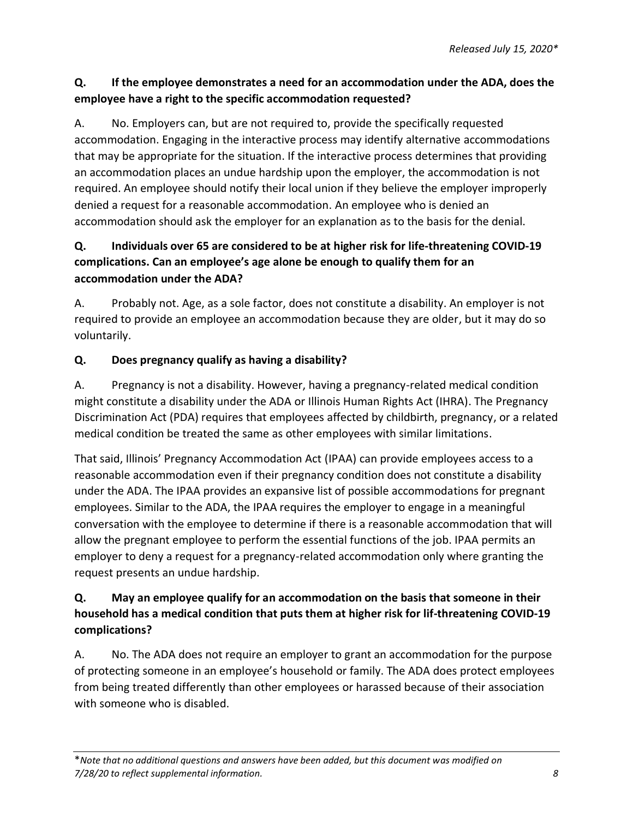## **Q. If the employee demonstrates a need for an accommodation under the ADA, does the employee have a right to the specific accommodation requested?**

A. No. Employers can, but are not required to, provide the specifically requested accommodation. Engaging in the interactive process may identify alternative accommodations that may be appropriate for the situation. If the interactive process determines that providing an accommodation places an undue hardship upon the employer, the accommodation is not required. An employee should notify their local union if they believe the employer improperly denied a request for a reasonable accommodation. An employee who is denied an accommodation should ask the employer for an explanation as to the basis for the denial.

# **Q. Individuals over 65 are considered to be at higher risk for life-threatening COVID-19 complications. Can an employee's age alone be enough to qualify them for an accommodation under the ADA?**

A. Probably not. Age, as a sole factor, does not constitute a disability. An employer is not required to provide an employee an accommodation because they are older, but it may do so voluntarily.

# **Q. Does pregnancy qualify as having a disability?**

A. Pregnancy is not a disability. However, having a pregnancy-related medical condition might constitute a disability under the ADA or Illinois Human Rights Act (IHRA). The Pregnancy Discrimination Act (PDA) requires that employees affected by childbirth, pregnancy, or a related medical condition be treated the same as other employees with similar limitations.

That said, Illinois' Pregnancy Accommodation Act (IPAA) can provide employees access to a reasonable accommodation even if their pregnancy condition does not constitute a disability under the ADA. The IPAA provides an expansive list of possible accommodations for pregnant employees. Similar to the ADA, the IPAA requires the employer to engage in a meaningful conversation with the employee to determine if there is a reasonable accommodation that will allow the pregnant employee to perform the essential functions of the job. IPAA permits an employer to deny a request for a pregnancy-related accommodation only where granting the request presents an undue hardship.

# **Q. May an employee qualify for an accommodation on the basis that someone in their household has a medical condition that puts them at higher risk for lif-threatening COVID-19 complications?**

A. No. The ADA does not require an employer to grant an accommodation for the purpose of protecting someone in an employee's household or family. The ADA does protect employees from being treated differently than other employees or harassed because of their association with someone who is disabled.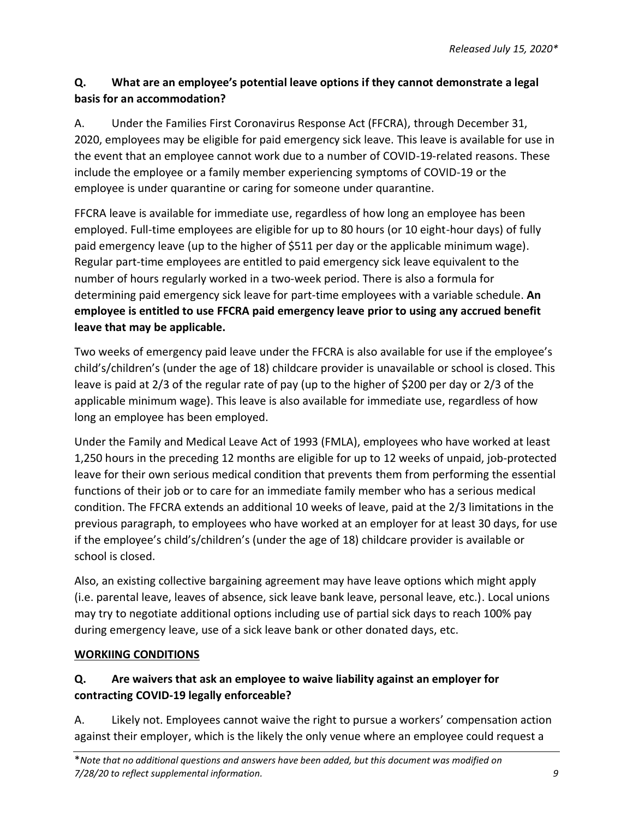# **Q. What are an employee's potential leave options if they cannot demonstrate a legal basis for an accommodation?**

A. Under the Families First Coronavirus Response Act (FFCRA), through December 31, 2020, employees may be eligible for paid emergency sick leave. This leave is available for use in the event that an employee cannot work due to a number of COVID-19-related reasons. These include the employee or a family member experiencing symptoms of COVID-19 or the employee is under quarantine or caring for someone under quarantine.

FFCRA leave is available for immediate use, regardless of how long an employee has been employed. Full-time employees are eligible for up to 80 hours (or 10 eight-hour days) of fully paid emergency leave (up to the higher of \$511 per day or the applicable minimum wage). Regular part-time employees are entitled to paid emergency sick leave equivalent to the number of hours regularly worked in a two-week period. There is also a formula for determining paid emergency sick leave for part-time employees with a variable schedule. **An employee is entitled to use FFCRA paid emergency leave prior to using any accrued benefit leave that may be applicable.** 

Two weeks of emergency paid leave under the FFCRA is also available for use if the employee's child's/children's (under the age of 18) childcare provider is unavailable or school is closed. This leave is paid at 2/3 of the regular rate of pay (up to the higher of \$200 per day or 2/3 of the applicable minimum wage). This leave is also available for immediate use, regardless of how long an employee has been employed.

Under the Family and Medical Leave Act of 1993 (FMLA), employees who have worked at least 1,250 hours in the preceding 12 months are eligible for up to 12 weeks of unpaid, job-protected leave for their own serious medical condition that prevents them from performing the essential functions of their job or to care for an immediate family member who has a serious medical condition. The FFCRA extends an additional 10 weeks of leave, paid at the 2/3 limitations in the previous paragraph, to employees who have worked at an employer for at least 30 days, for use if the employee's child's/children's (under the age of 18) childcare provider is available or school is closed.

Also, an existing collective bargaining agreement may have leave options which might apply (i.e. parental leave, leaves of absence, sick leave bank leave, personal leave, etc.). Local unions may try to negotiate additional options including use of partial sick days to reach 100% pay during emergency leave, use of a sick leave bank or other donated days, etc.

### **WORKIING CONDITIONS**

# **Q. Are waivers that ask an employee to waive liability against an employer for contracting COVID-19 legally enforceable?**

A. Likely not. Employees cannot waive the right to pursue a workers' compensation action against their employer, which is the likely the only venue where an employee could request a